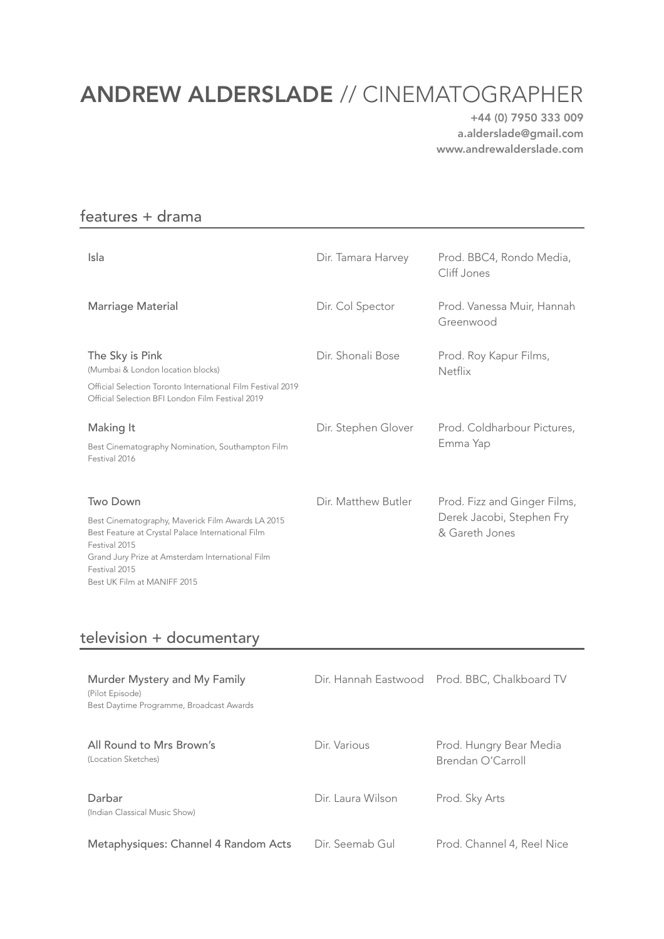# ANDREW ALDERSLADE // CINEMATOGRAPHER

+44 (0) 7950 333 009 a.alderslade@gmail.com www.andrewalderslade.com

#### features + drama

| Isla                                                                                                                                                                                                                                    | Dir. Tamara Harvey  | Prod. BBC4, Rondo Media,<br>Cliff Jones                                     |
|-----------------------------------------------------------------------------------------------------------------------------------------------------------------------------------------------------------------------------------------|---------------------|-----------------------------------------------------------------------------|
| Marriage Material                                                                                                                                                                                                                       | Dir. Col Spector    | Prod. Vanessa Muir, Hannah<br>Greenwood                                     |
| The Sky is Pink<br>(Mumbai & London location blocks)<br>Official Selection Toronto International Film Festival 2019<br>Official Selection BFI London Film Festival 2019                                                                 | Dir. Shonali Bose   | Prod. Roy Kapur Films,<br><b>Netflix</b>                                    |
| Making It<br>Best Cinematography Nomination, Southampton Film<br>Festival 2016                                                                                                                                                          | Dir. Stephen Glover | Prod. Coldharbour Pictures,<br>Emma Yap                                     |
| Two Down<br>Best Cinematography, Maverick Film Awards LA 2015<br>Best Feature at Crystal Palace International Film<br>Festival 2015<br>Grand Jury Prize at Amsterdam International Film<br>Festival 2015<br>Best UK Film at MANIFF 2015 | Dir. Matthew Butler | Prod. Fizz and Ginger Films,<br>Derek Jacobi, Stephen Fry<br>& Gareth Jones |

#### television + documentary

| Murder Mystery and My Family<br>(Pilot Episode)<br>Best Daytime Programme, Broadcast Awards |                   | Dir. Hannah Eastwood Prod. BBC, Chalkboard TV |
|---------------------------------------------------------------------------------------------|-------------------|-----------------------------------------------|
| All Round to Mrs Brown's<br>(Location Sketches)                                             | Dir. Various      | Prod. Hungry Bear Media<br>Brendan O'Carroll  |
| Darbar<br>(Indian Classical Music Show)                                                     | Dir. Laura Wilson | Prod. Sky Arts                                |
| Metaphysiques: Channel 4 Random Acts                                                        | Dir. Seemab Gul   | Prod. Channel 4, Reel Nice                    |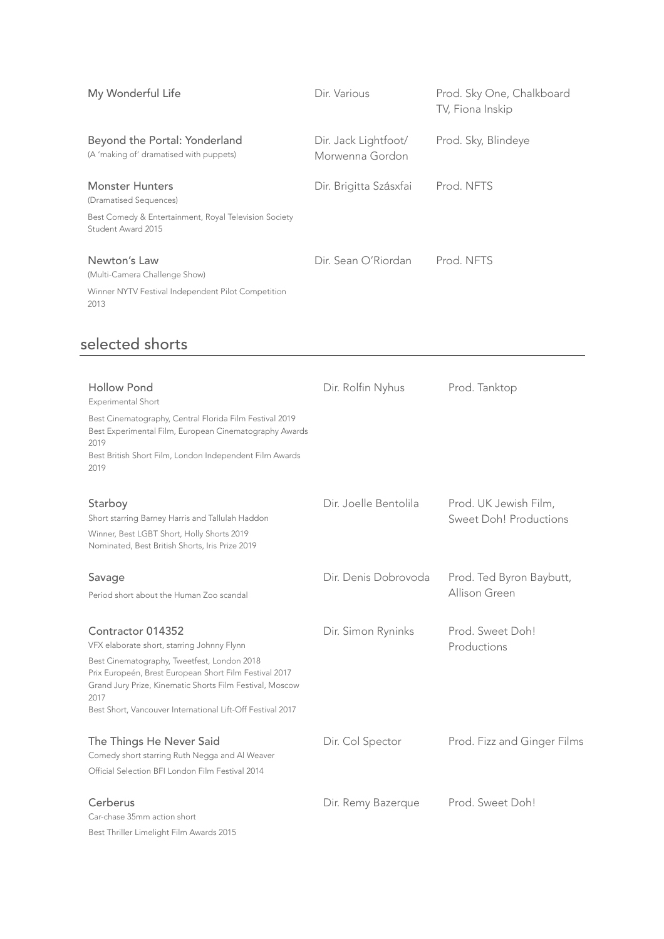| My Wonderful Life                                                           | Dir. Various                            | Prod. Sky One, Chalkboard<br>TV, Fiona Inskip |
|-----------------------------------------------------------------------------|-----------------------------------------|-----------------------------------------------|
| Beyond the Portal: Yonderland<br>(A 'making of' dramatised with puppets)    | Dir. Jack Lightfoot/<br>Morwenna Gordon | Prod. Sky, Blindeye                           |
| <b>Monster Hunters</b><br>(Dramatised Sequences)                            | Dir. Brigitta Szásxfai                  | Prod. NFTS                                    |
| Best Comedy & Entertainment, Royal Television Society<br>Student Award 2015 |                                         |                                               |
| Newton's Law<br>(Multi-Camera Challenge Show)                               | Dir. Sean O'Riordan                     | Prod. NFTS                                    |
| Winner NYTV Festival Independent Pilot Competition<br>2013                  |                                         |                                               |

## selected shorts

| <b>Hollow Pond</b><br><b>Experimental Short</b>                                                                                                                                                                                                                                                            | Dir. Rolfin Nyhus     | Prod. Tanktop                                   |
|------------------------------------------------------------------------------------------------------------------------------------------------------------------------------------------------------------------------------------------------------------------------------------------------------------|-----------------------|-------------------------------------------------|
| Best Cinematography, Central Florida Film Festival 2019<br>Best Experimental Film, European Cinematography Awards<br>2019<br>Best British Short Film, London Independent Film Awards<br>2019                                                                                                               |                       |                                                 |
| Starboy<br>Short starring Barney Harris and Tallulah Haddon<br>Winner, Best LGBT Short, Holly Shorts 2019<br>Nominated, Best British Shorts, Iris Prize 2019                                                                                                                                               | Dir. Joelle Bentolila | Prod. UK Jewish Film,<br>Sweet Doh! Productions |
| Savage<br>Period short about the Human Zoo scandal                                                                                                                                                                                                                                                         | Dir. Denis Dobrovoda  | Prod. Ted Byron Baybutt,<br>Allison Green       |
| Contractor 014352<br>VFX elaborate short, starring Johnny Flynn<br>Best Cinematography, Tweetfest, London 2018<br>Prix Europeén, Brest European Short Film Festival 2017<br>Grand Jury Prize, Kinematic Shorts Film Festival, Moscow<br>2017<br>Best Short, Vancouver International Lift-Off Festival 2017 | Dir. Simon Ryninks    | Prod. Sweet Doh!<br>Productions                 |
| The Things He Never Said<br>Comedy short starring Ruth Negga and Al Weaver<br>Official Selection BFI London Film Festival 2014                                                                                                                                                                             | Dir. Col Spector      | Prod. Fizz and Ginger Films                     |
| Cerberus<br>Car-chase 35mm action short<br>Best Thriller Limelight Film Awards 2015                                                                                                                                                                                                                        | Dir. Remy Bazerque    | Prod. Sweet Doh!                                |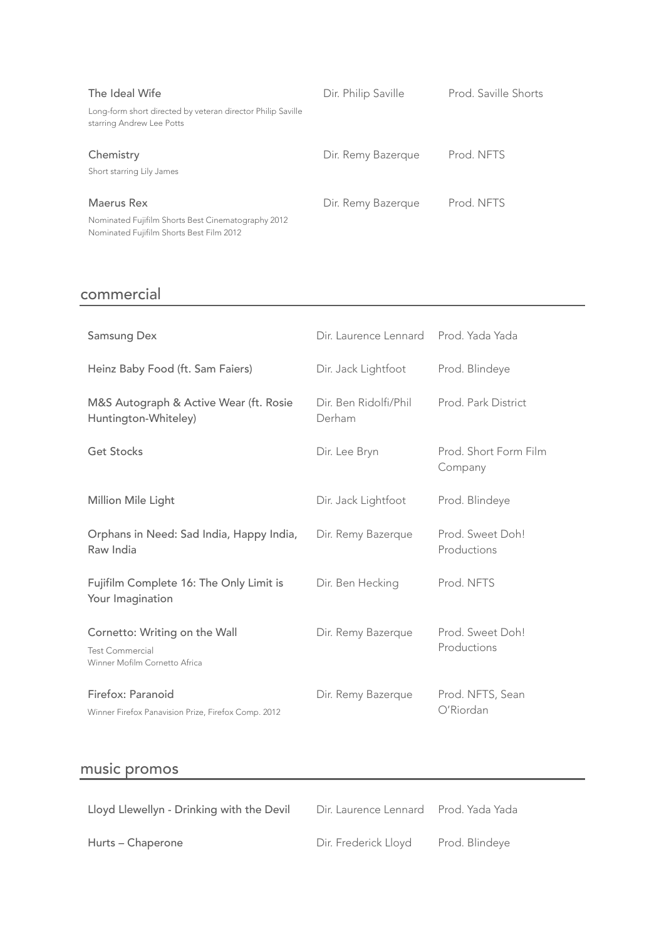| The Ideal Wife                                                                                 | Dir. Philip Saville | Prod. Saville Shorts |
|------------------------------------------------------------------------------------------------|---------------------|----------------------|
| Long-form short directed by veteran director Philip Saville<br>starring Andrew Lee Potts       |                     |                      |
| Chemistry<br>Short starring Lily James                                                         | Dir. Remy Bazerque  | Prod. NFTS           |
| Maerus Rex                                                                                     | Dir. Remy Bazerque  | Prod. NFTS           |
| Nominated Fujifilm Shorts Best Cinematography 2012<br>Nominated Fujifilm Shorts Best Film 2012 |                     |                      |

## commercial

| <b>Samsung Dex</b>                                                                       | Dir. Laurence Lennard           | Prod. Yada Yada                  |
|------------------------------------------------------------------------------------------|---------------------------------|----------------------------------|
| Heinz Baby Food (ft. Sam Faiers)                                                         | Dir. Jack Lightfoot             | Prod. Blindeye                   |
| M&S Autograph & Active Wear (ft. Rosie<br>Huntington-Whiteley)                           | Dir. Ben Ridolfi/Phil<br>Derham | Prod. Park District              |
| <b>Get Stocks</b>                                                                        | Dir. Lee Bryn                   | Prod. Short Form Film<br>Company |
| Million Mile Light                                                                       | Dir. Jack Lightfoot             | Prod. Blindeye                   |
| Orphans in Need: Sad India, Happy India,<br>Raw India                                    | Dir. Remy Bazerque              | Prod. Sweet Doh!<br>Productions  |
| Fujifilm Complete 16: The Only Limit is<br>Your Imagination                              | Dir. Ben Hecking                | Prod. NFTS                       |
| Cornetto: Writing on the Wall<br><b>Test Commercial</b><br>Winner Mofilm Cornetto Africa | Dir. Remy Bazerque              | Prod. Sweet Doh!<br>Productions  |
| Firefox: Paranoid<br>Winner Firefox Panavision Prize, Firefox Comp. 2012                 | Dir. Remy Bazerque              | Prod. NFTS, Sean<br>O'Riordan    |

# music promos

| Lloyd Llewellyn - Drinking with the Devil | Dir. Laurence Lennard Prod. Yada Yada |                |
|-------------------------------------------|---------------------------------------|----------------|
| Hurts – Chaperone                         | Dir. Frederick Lloyd                  | Prod. Blindeye |